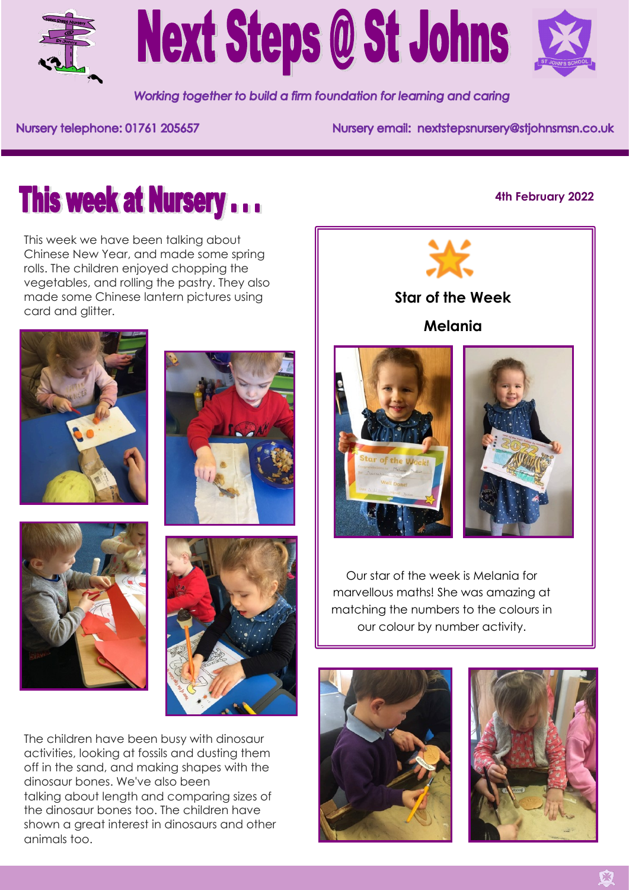



Working together to build a firm foundation for learning and caring

Nursery telephone: 01761 205657

Nursery email: nextstepsnursery@stjohnsmsn.co.uk

## **This week at Nursery...**

This week we have been talking about Chinese New Year, and made some spring rolls. The children enjoyed chopping the vegetables, and rolling the pastry. They also made some Chinese lantern pictures using card and glitter.









The children have been busy with dinosaur activities, looking at fossils and dusting them off in the sand, and making shapes with the dinosaur bones. We've also been talking about length and comparing sizes of the dinosaur bones too. The children have shown a great interest in dinosaurs and other animals too.

## **4th February 2022**





Our star of the week is Melania for marvellous maths! She was amazing at matching the numbers to the colours in our colour by number activity.